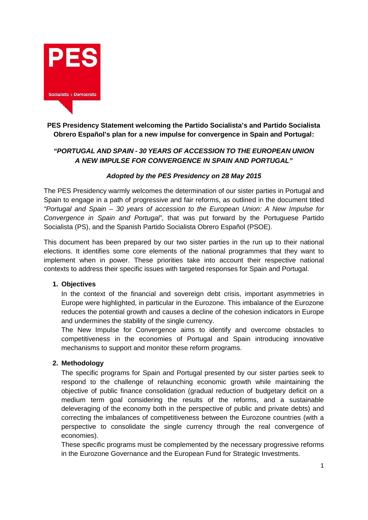

# **PES Presidency Statement welcoming the Partido Socialista's and Partido Socialista Obrero Español's plan for a new impulse for convergence in Spain and Portugal:**

# *"PORTUGAL AND SPAIN - 30 YEARS OF ACCESSION TO THE EUROPEAN UNION A NEW IMPULSE FOR CONVERGENCE IN SPAIN AND PORTUGAL"*

# *Adopted by the PES Presidency on 28 May 2015*

The PES Presidency warmly welcomes the determination of our sister parties in Portugal and Spain to engage in a path of progressive and fair reforms, as outlined in the document titled *"Portugal and Spain – 30 years of accession to the European Union: A New Impulse for Convergence in Spain and Portugal"*, that was put forward by the Portuguese Partido Socialista (PS), and the Spanish Partido Socialista Obrero Español (PSOE).

This document has been prepared by our two sister parties in the run up to their national elections. It identifies some core elements of the national programmes that they want to implement when in power. These priorities take into account their respective national contexts to address their specific issues with targeted responses for Spain and Portugal.

#### **1. Objectives**

In the context of the financial and sovereign debt crisis, important asymmetries in Europe were highlighted, in particular in the Eurozone. This imbalance of the Eurozone reduces the potential growth and causes a decline of the cohesion indicators in Europe and undermines the stability of the single currency.

The New Impulse for Convergence aims to identify and overcome obstacles to competitiveness in the economies of Portugal and Spain introducing innovative mechanisms to support and monitor these reform programs.

#### **2. Methodology**

The specific programs for Spain and Portugal presented by our sister parties seek to respond to the challenge of relaunching economic growth while maintaining the objective of public finance consolidation (gradual reduction of budgetary deficit on a medium term goal considering the results of the reforms, and a sustainable deleveraging of the economy both in the perspective of public and private debts) and correcting the imbalances of competitiveness between the Eurozone countries (with a perspective to consolidate the single currency through the real convergence of economies).

These specific programs must be complemented by the necessary progressive reforms in the Eurozone Governance and the European Fund for Strategic Investments.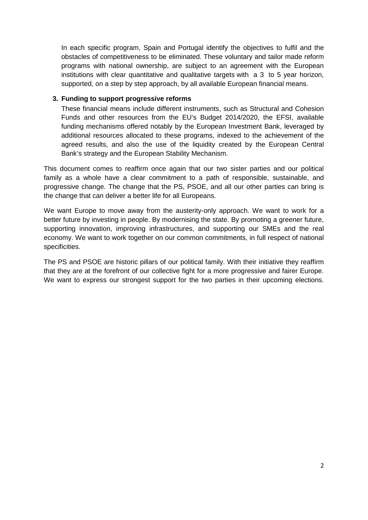In each specific program, Spain and Portugal identify the objectives to fulfil and the obstacles of competitiveness to be eliminated. These voluntary and tailor made reform programs with national ownership, are subject to an agreement with the European institutions with clear quantitative and qualitative targets with a 3 to 5 year horizon, supported, on a step by step approach, by all available European financial means.

### **3. Funding to support progressive reforms**

These financial means include different instruments, such as Structural and Cohesion Funds and other resources from the EU's Budget 2014/2020, the EFSI, available funding mechanisms offered notably by the European Investment Bank, leveraged by additional resources allocated to these programs, indexed to the achievement of the agreed results, and also the use of the liquidity created by the European Central Bank's strategy and the European Stability Mechanism.

This document comes to reaffirm once again that our two sister parties and our political family as a whole have a clear commitment to a path of responsible, sustainable, and progressive change. The change that the PS, PSOE, and all our other parties can bring is the change that can deliver a better life for all Europeans.

We want Europe to move away from the austerity-only approach. We want to work for a better future by investing in people. By modernising the state. By promoting a greener future, supporting innovation, improving infrastructures, and supporting our SMEs and the real economy. We want to work together on our common commitments, in full respect of national specificities.

The PS and PSOE are historic pillars of our political family. With their initiative they reaffirm that they are at the forefront of our collective fight for a more progressive and fairer Europe. We want to express our strongest support for the two parties in their upcoming elections.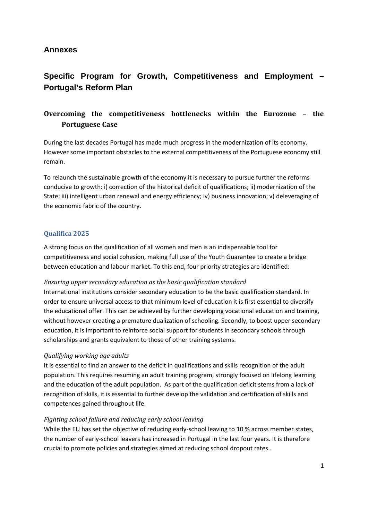# **Annexes**

# **Specific Program for Growth, Competitiveness and Employment – Portugal's Reform Plan**

# **Overcoming the competitiveness bottlenecks within the Eurozone – the Portuguese Case**

During the last decades Portugal has made much progress in the modernization of its economy. However some important obstacles to the external competitiveness of the Portuguese economy still remain.

To relaunch the sustainable growth of the economy it is necessary to pursue further the reforms conducive to growth: i) correction of the historical deficit of qualifications; ii) modernization of the State; iii) intelligent urban renewal and energy efficiency; iv) business innovation; v) deleveraging of the economic fabric of the country.

# **Qualifica 2025**

A strong focus on the qualification of all women and men is an indispensable tool for competitiveness and social cohesion, making full use of the Youth Guarantee to create a bridge between education and labour market. To this end, four priority strategies are identified:

#### *Ensuring upper secondary education as the basic qualification standard*

International institutions consider secondary education to be the basic qualification standard. In order to ensure universal access to that minimum level of education it is first essential to diversify the educational offer. This can be achieved by further developing vocational education and training, without however creating a premature dualization of schooling. Secondly, to boost upper secondary education, it is important to reinforce social support for students in secondary schools through scholarships and grants equivalent to those of other training systems.

#### *Qualifying working age adults*

It is essential to find an answer to the deficit in qualifications and skills recognition of the adult population. This requires resuming an adult training program, strongly focused on lifelong learning and the education of the adult population. As part of the qualification deficit stems from a lack of recognition of skills, it is essential to further develop the validation and certification of skills and competences gained throughout life.

#### *Fighting school failure and reducing early school leaving*

While the EU has set the objective of reducing early-school leaving to 10 % across member states, the number of early-school leavers has increased in Portugal in the last four years. It is therefore crucial to promote policies and strategies aimed at reducing school dropout rates..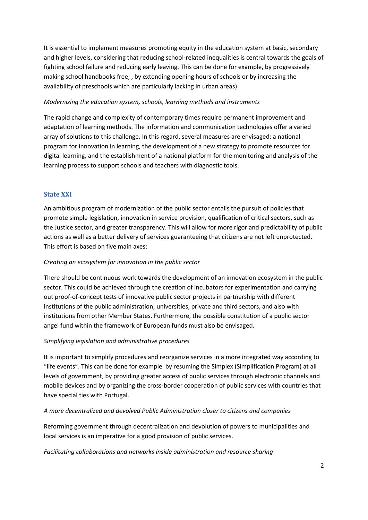It is essential to implement measures promoting equity in the education system at basic, secondary and higher levels, considering that reducing school-related inequalities is central towards the goals of fighting school failure and reducing early leaving. This can be done for example, by progressively making school handbooks free, , by extending opening hours of schools or by increasing the availability of preschools which are particularly lacking in urban areas).

#### *Modernizing the education system, schools, learning methods and instruments*

The rapid change and complexity of contemporary times require permanent improvement and adaptation of learning methods. The information and communication technologies offer a varied array of solutions to this challenge. In this regard, several measures are envisaged: a national program for innovation in learning, the development of a new strategy to promote resources for digital learning, and the establishment of a national platform for the monitoring and analysis of the learning process to support schools and teachers with diagnostic tools.

#### **State XXI**

An ambitious program of modernization of the public sector entails the pursuit of policies that promote simple legislation, innovation in service provision, qualification of critical sectors, such as the Justice sector, and greater transparency. This will allow for more rigor and predictability of public actions as well as a better delivery of services guaranteeing that citizens are not left unprotected. This effort is based on five main axes:

#### *Creating an ecosystem for innovation in the public sector*

There should be continuous work towards the development of an innovation ecosystem in the public sector. This could be achieved through the creation of incubators for experimentation and carrying out proof-of-concept tests of innovative public sector projects in partnership with different institutions of the public administration, universities, private and third sectors, and also with institutions from other Member States. Furthermore, the possible constitution of a public sector angel fund within the framework of European funds must also be envisaged.

#### *Simplifying legislation and administrative procedures*

It is important to simplify procedures and reorganize services in a more integrated way according to "life events". This can be done for example by resuming the Simplex (Simplification Program) at all levels of government, by providing greater access of public services through electronic channels and mobile devices and by organizing the cross-border cooperation of public services with countries that have special ties with Portugal.

#### *A more decentralized and devolved Public Administration closer to citizens and companies*

Reforming government through decentralization and devolution of powers to municipalities and local services is an imperative for a good provision of public services.

#### *Facilitating collaborations and networks inside administration and resource sharing*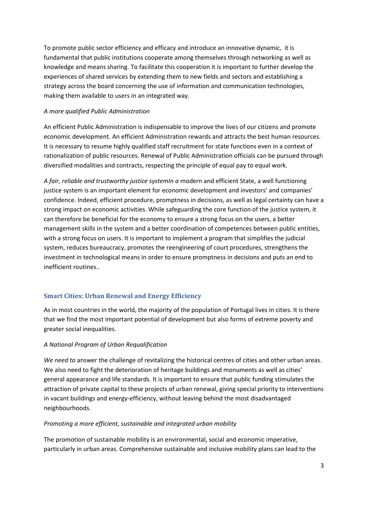To promote public sector efficiency and efficacy and introduce an innovative dynamic, it is fundamental that public institutions cooperate among themselves through networking as well as knowledge and means sharing. To facilitate this cooperation it is important to further develop the experiences of shared services by extending them to new fields and sectors and establishing a strategy across the board concerning the use of information and communication technologies, making them available to users in an integrated way.

#### *A more qualified Public Administration*

An efficient Public Administration is indispensable to improve the lives of our citizens and promote economic development. An efficient Administration rewards and attracts the best human resources. It is necessary to resume highly qualified staff recruitment for state functions even in a context of rationalization of public resources. Renewal of Public Administration officials can be pursued through diversified modalities and contracts, respecting the principle of equal pay to equal work.

*A fair, reliable and trustworthy justice systemIn a* modern and efficient State, a well functioning justice system is an important element for economic development and investors' and companies' confidence. Indeed, efficient procedure, promptness in decisions, as well as legal certainty can have a strong impact on economic activities. While safeguarding the core function of the justice system, it can therefore be beneficial for the economy to ensure a strong focus on the users, a better management skills in the system and a better coordination of competences between public entities, with a strong focus on users. It is important to implement a program that simplifies the judicial system, reduces bureaucracy, promotes the reengineering of court procedures, strengthens the investment in technological means in order to ensure promptness in decisions and puts an end to inefficient routines..

#### **Smart Cities: Urban Renewal and Energy Efficiency**

As in most countries in the world, the majority of the population of Portugal lives in cities. It is there that we find the most important potential of development but also forms of extreme poverty and greater social inequalities.

#### *A National Program of Urban Requalification*

*We need to* answer the challenge of revitalizing the historical centres of cities and other urban areas. We also need to fight the deterioration of heritage buildings and monuments as well as cities' general appearance and life standards. It is important to ensure that public funding stimulates the attraction of private capital to these projects of urban renewal, giving special priority to interventions in vacant buildings and energy-efficiency, without leaving behind the most disadvantaged neighbourhoods.

#### *Promoting a more efficient, sustainable and integrated urban mobility*

The promotion of sustainable mobility is an environmental, social and economic imperative, particularly in urban areas. Comprehensive sustainable and inclusive mobility plans can lead to the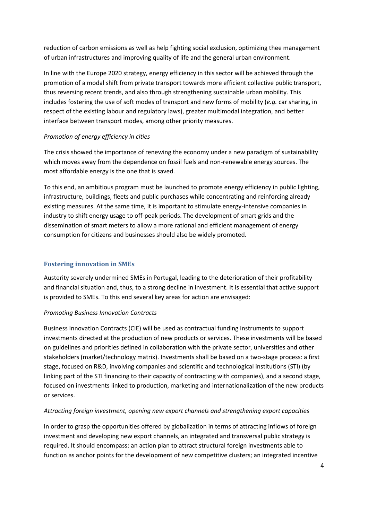reduction of carbon emissions as well as help fighting social exclusion, optimizing thee management of urban infrastructures and improving quality of life and the general urban environment.

In line with the Europe 2020 strategy, energy efficiency in this sector will be achieved through the promotion of a modal shift from private transport towards more efficient collective public transport, thus reversing recent trends, and also through strengthening sustainable urban mobility. This includes fostering the use of soft modes of transport and new forms of mobility (*e.g.* car sharing, in respect of the existing labour and regulatory laws), greater multimodal integration, and better interface between transport modes, among other priority measures.

# *Promotion of energy efficiency in cities*

The crisis showed the importance of renewing the economy under a new paradigm of sustainability which moves away from the dependence on fossil fuels and non-renewable energy sources. The most affordable energy is the one that is saved.

To this end, an ambitious program must be launched to promote energy efficiency in public lighting, infrastructure, buildings, fleets and public purchases while concentrating and reinforcing already existing measures. At the same time, it is important to stimulate energy-intensive companies in industry to shift energy usage to off-peak periods. The development of smart grids and the dissemination of smart meters to allow a more rational and efficient management of energy consumption for citizens and businesses should also be widely promoted.

# **Fostering innovation in SMEs**

Austerity severely undermined SMEs in Portugal, leading to the deterioration of their profitability and financial situation and, thus, to a strong decline in investment. It is essential that active support is provided to SMEs. To this end several key areas for action are envisaged:

#### *Promoting Business Innovation Contracts*

Business Innovation Contracts (CIE) will be used as contractual funding instruments to support investments directed at the production of new products or services. These investments will be based on guidelines and priorities defined in collaboration with the private sector, universities and other stakeholders (market/technology matrix). Investments shall be based on a two-stage process: a first stage, focused on R&D, involving companies and scientific and technological institutions (STI) (by linking part of the STI financing to their capacity of contracting with companies), and a second stage, focused on investments linked to production, marketing and internationalization of the new products or services.

#### *Attracting foreign investment, opening new export channels and strengthening export capacities*

In order to grasp the opportunities offered by globalization in terms of attracting inflows of foreign investment and developing new export channels, an integrated and transversal public strategy is required. It should encompass: an action plan to attract structural foreign investments able to function as anchor points for the development of new competitive clusters; an integrated incentive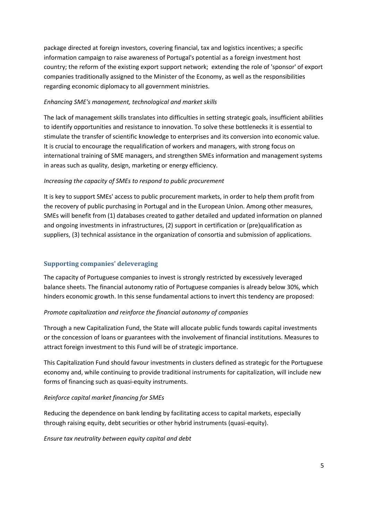package directed at foreign investors, covering financial, tax and logistics incentives; a specific information campaign to raise awareness of Portugal's potential as a foreign investment host country; the reform of the existing export support network; extending the role of 'sponsor' of export companies traditionally assigned to the Minister of the Economy, as well as the responsibilities regarding economic diplomacy to all government ministries.

#### *Enhancing SME's management, technological and market skills*

The lack of management skills translates into difficulties in setting strategic goals, insufficient abilities to identify opportunities and resistance to innovation. To solve these bottlenecks it is essential to stimulate the transfer of scientific knowledge to enterprises and its conversion into economic value. It is crucial to encourage the requalification of workers and managers, with strong focus on international training of SME managers, and strengthen SMEs information and management systems in areas such as quality, design, marketing or energy efficiency.

# *Increasing the capacity of SMEs to respond to public procurement*

It is key to support SMEs' access to public procurement markets, in order to help them profit from the recovery of public purchasing in Portugal and in the European Union. Among other measures, SMEs will benefit from (1) databases created to gather detailed and updated information on planned and ongoing investments in infrastructures, (2) support in certification or (pre)qualification as suppliers, (3) technical assistance in the organization of consortia and submission of applications.

# **Supporting companies' deleveraging**

The capacity of Portuguese companies to invest is strongly restricted by excessively leveraged balance sheets. The financial autonomy ratio of Portuguese companies is already below 30%, which hinders economic growth. In this sense fundamental actions to invert this tendency are proposed:

# *Promote capitalization and reinforce the financial autonomy of companies*

Through a new Capitalization Fund, the State will allocate public funds towards capital investments or the concession of loans or guarantees with the involvement of financial institutions. Measures to attract foreign investment to this Fund will be of strategic importance.

This Capitalization Fund should favour investments in clusters defined as strategic for the Portuguese economy and, while continuing to provide traditional instruments for capitalization, will include new forms of financing such as quasi-equity instruments.

# *Reinforce capital market financing for SMEs*

Reducing the dependence on bank lending by facilitating access to capital markets, especially through raising equity, debt securities or other hybrid instruments (quasi-equity).

*Ensure tax neutrality between equity capital and debt*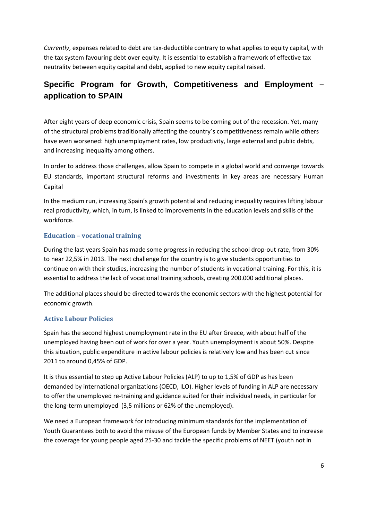*Currently*, expenses related to debt are tax-deductible contrary to what applies to equity capital, with the tax system favouring debt over equity. It is essential to establish a framework of effective tax neutrality between equity capital and debt, applied to new equity capital raised.

# **Specific Program for Growth, Competitiveness and Employment – application to SPAIN**

After eight years of deep economic crisis, Spain seems to be coming out of the recession. Yet, many of the structural problems traditionally affecting the country´s competitiveness remain while others have even worsened: high unemployment rates, low productivity, large external and public debts, and increasing inequality among others.

In order to address those challenges, allow Spain to compete in a global world and converge towards EU standards, important structural reforms and investments in key areas are necessary Human **Capital** 

In the medium run, increasing Spain's growth potential and reducing inequality requires lifting labour real productivity, which, in turn, is linked to improvements in the education levels and skills of the workforce.

# **Education – vocational training**

During the last years Spain has made some progress in reducing the school drop-out rate, from 30% to near 22,5% in 2013. The next challenge for the country is to give students opportunities to continue on with their studies, increasing the number of students in vocational training. For this, it is essential to address the lack of vocational training schools, creating 200.000 additional places.

The additional places should be directed towards the economic sectors with the highest potential for economic growth.

# **Active Labour Policies**

Spain has the second highest unemployment rate in the EU after Greece, with about half of the unemployed having been out of work for over a year. Youth unemployment is about 50%. Despite this situation, public expenditure in active labour policies is relatively low and has been cut since 2011 to around 0,45% of GDP.

It is thus essential to step up Active Labour Policies (ALP) to up to 1,5% of GDP as has been demanded by international organizations (OECD, ILO). Higher levels of funding in ALP are necessary to offer the unemployed re-training and guidance suited for their individual needs, in particular for the long-term unemployed (3,5 millions or 62% of the unemployed).

We need a European framework for introducing minimum standards for the implementation of Youth Guarantees both to avoid the misuse of the European funds by Member States and to increase the coverage for young people aged 25-30 and tackle the specific problems of NEET (youth not in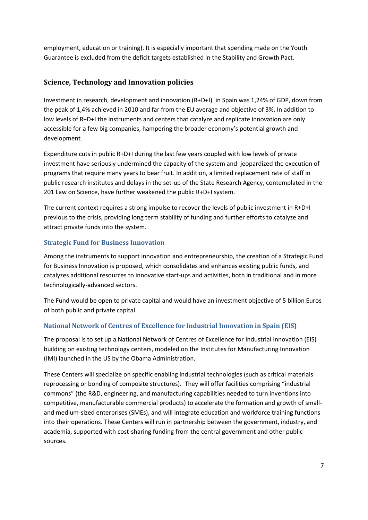employment, education or training). It is especially important that spending made on the Youth Guarantee is excluded from the deficit targets established in the Stability and Growth Pact.

# **Science, Technology and Innovation policies**

Investment in research, development and innovation (R+D+I) in Spain was 1,24% of GDP, down from the peak of 1,4% achieved in 2010 and far from the EU average and objective of 3%. In addition to low levels of R+D+I the instruments and centers that catalyze and replicate innovation are only accessible for a few big companies, hampering the broader economy's potential growth and development.

Expenditure cuts in public R+D+I during the last few years coupled with low levels of private investment have seriously undermined the capacity of the system and jeopardized the execution of programs that require many years to bear fruit. In addition, a limited replacement rate of staff in public research institutes and delays in the set-up of the State Research Agency, contemplated in the 201 Law on Science, have further weakened the public R+D+I system.

The current context requires a strong impulse to recover the levels of public investment in R+D+I previous to the crisis, providing long term stability of funding and further efforts to catalyze and attract private funds into the system.

# **Strategic Fund for Business Innovation**

Among the instruments to support innovation and entrepreneurship, the creation of a Strategic Fund for Business Innovation is proposed, which consolidates and enhances existing public funds, and catalyzes additional resources to innovative start-ups and activities, both in traditional and in more technologically-advanced sectors.

The Fund would be open to private capital and would have an investment objective of 5 billion Euros of both public and private capital.

# **National Network of Centres of Excellence for Industrial Innovation in Spain (EIS)**

The proposal is to set up a National Network of Centres of Excellence for Industrial Innovation (EIS) building on existing technology centers, modeled on the Institutes for Manufacturing Innovation (IMI) launched in the US by the Obama Administration.

These Centers will specialize on specific enabling industrial technologies (such as critical materials reprocessing or bonding of composite structures). They will offer facilities comprising "industrial commons" (the R&D, engineering, and manufacturing capabilities needed to turn inventions into competitive, manufacturable commercial products) to accelerate the formation and growth of small and medium-sized enterprises (SMEs), and will integrate education and workforce training functions into their operations. These Centers will run in partnership between the government, industry, and academia, supported with cost-sharing funding from the central government and other public sources.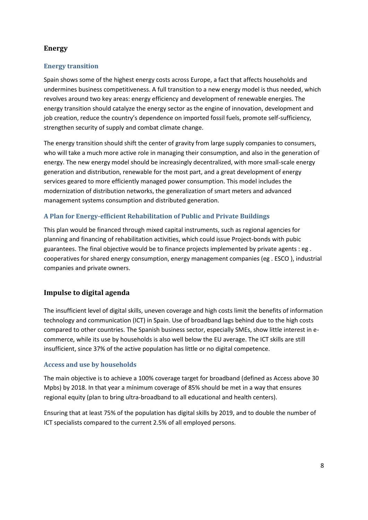# **Energy**

# **Energy transition**

Spain shows some of the highest energy costs across Europe, a fact that affects households and undermines business competitiveness. A full transition to a new energy model is thus needed, which revolves around two key areas: energy efficiency and development of renewable energies. The energy transition should catalyze the energy sector as the engine of innovation, development and job creation, reduce the country's dependence on imported fossil fuels, promote self-sufficiency, strengthen security of supply and combat climate change.

The energy transition should shift the center of gravity from large supply companies to consumers, who will take a much more active role in managing their consumption, and also in the generation of energy. The new energy model should be increasingly decentralized, with more small-scale energy generation and distribution, renewable for the most part, and a great development of energy services geared to more efficiently managed power consumption. This model includes the modernization of distribution networks, the generalization of smart meters and advanced management systems consumption and distributed generation.

# **A Plan for Energy-efficient Rehabilitation of Public and Private Buildings**

This plan would be financed through mixed capital instruments, such as regional agencies for planning and financing of rehabilitation activities, which could issue Project-bonds with pubic guarantees. The final objective would be to finance projects implemented by private agents : eg . cooperatives for shared energy consumption, energy management companies (eg . ESCO ), industrial companies and private owners.

# **Impulse to digital agenda**

The insufficient level of digital skills, uneven coverage and high costs limit the benefits of information technology and communication (ICT) in Spain. Use of broadband lags behind due to the high costs compared to other countries. The Spanish business sector, especially SMEs, show little interest in e commerce, while its use by households is also well below the EU average. The ICT skills are still insufficient, since 37% of the active population has little or no digital competence.

#### **Access and use by households**

The main objective is to achieve a 100% coverage target for broadband (defined as Access above 30 Mpbs) by 2018. In that year a mínimum coverage of 85% should be met in a way that ensures regional equity (plan to bring ultra-broadband to all educational and health centers).

Ensuring that at least 75% of the population has digital skills by 2019, and to double the number of ICT specialists compared to the current 2.5% of all employed persons.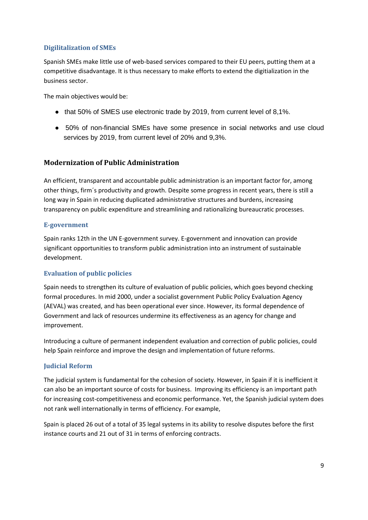## **Digilitalization of SMEs**

Spanish SMEs make little use of web-based services compared to their EU peers, putting them at a competitive disadvantage. It is thus necessary to make efforts to extend the digitialization in the business sector.

The main objectives would be:

that 50% of SMES use electronic trade by 2019, from current level of 8,1%.

50% of non-financial SMEs have some presence in social networks and use cloud services by 2019, from current level of 20% and 9,3%.

# **Modernization of Public Administration**

An efficient, transparent and accountable public administration is an important factor for, among other things, firm´s productivity and growth. Despite some progress in recent years, there is still a long way in Spain in reducing duplicated administrative structures and burdens, increasing transparency on public expenditure and streamlining and rationalizing bureaucratic processes.

#### **E-government**

Spain ranks 12th in the UN E-government survey. E-government and innovation can provide significant opportunities to transform public administration into an instrument of sustainable development.

#### **Evaluation of public policies**

Spain needs to strengthen its culture of evaluation of public policies, which goes beyond checking formal procedures. In mid 2000, under a socialist government Public Policy Evaluation Agency (AEVAL) was created, and has been operational ever since. However, its formal dependence of Government and lack of resources undermine its effectiveness as an agency for change and improvement.

Introducing a culture of permanent independent evaluation and correction of public policies, could help Spain reinforce and improve the design and implementation of future reforms.

#### **Judicial Reform**

The judicial system is fundamental for the cohesion of society. However, in Spain if it is inefficient it can also be an important source of costs for business. Improving its efficiency is an important path for increasing cost-competitiveness and economic performance. Yet, the Spanish judicial system does not rank well internationally in terms of efficiency. For example,

Spain is placed 26 out of a total of 35 legal systems in its ability to resolve disputes before the first instance courts and 21 out of 31 in terms of enforcing contracts.